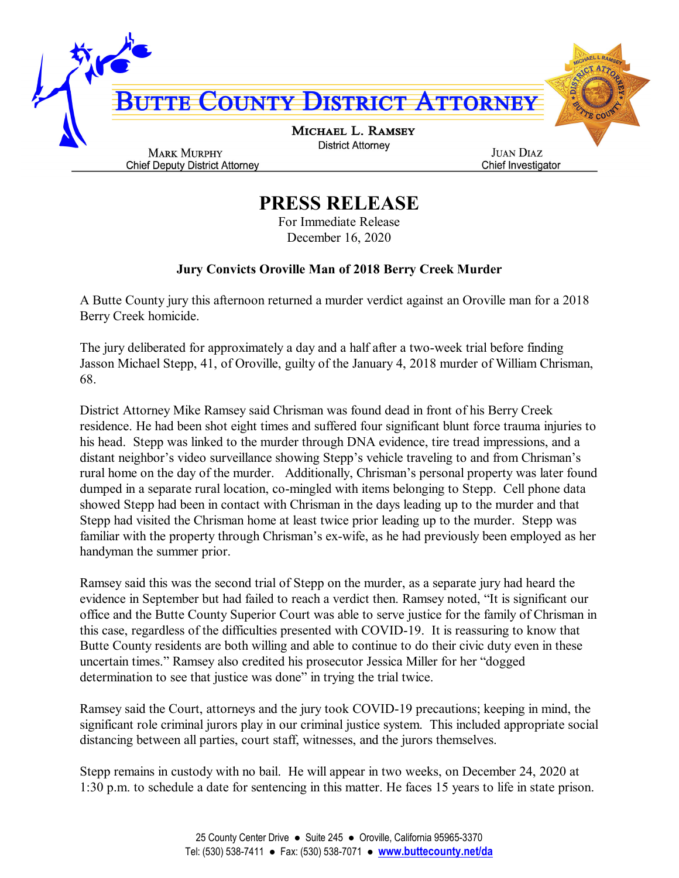

## **PRESS RELEASE**

For Immediate Release December 16, 2020

## **Jury Convicts Oroville Man of 2018 Berry Creek Murder**

A Butte County jury this afternoon returned a murder verdict against an Oroville man for a 2018 Berry Creek homicide.

The jury deliberated for approximately a day and a half after a two-week trial before finding Jasson Michael Stepp, 41, of Oroville, guilty of the January 4, 2018 murder of William Chrisman, 68.

District Attorney Mike Ramsey said Chrisman was found dead in front of his Berry Creek residence. He had been shot eight times and suffered four significant blunt force trauma injuries to his head. Stepp was linked to the murder through DNA evidence, tire tread impressions, and a distant neighbor's video surveillance showing Stepp's vehicle traveling to and from Chrisman's rural home on the day of the murder. Additionally, Chrisman's personal property was later found dumped in a separate rural location, co-mingled with items belonging to Stepp. Cell phone data showed Stepp had been in contact with Chrisman in the days leading up to the murder and that Stepp had visited the Chrisman home at least twice prior leading up to the murder. Stepp was familiar with the property through Chrisman's ex-wife, as he had previously been employed as her handyman the summer prior.

Ramsey said this was the second trial of Stepp on the murder, as a separate jury had heard the evidence in September but had failed to reach a verdict then. Ramsey noted, "It is significant our office and the Butte County Superior Court was able to serve justice for the family of Chrisman in this case, regardless of the difficulties presented with COVID-19. It is reassuring to know that Butte County residents are both willing and able to continue to do their civic duty even in these uncertain times." Ramsey also credited his prosecutor Jessica Miller for her "dogged determination to see that justice was done" in trying the trial twice.

Ramsey said the Court, attorneys and the jury took COVID-19 precautions; keeping in mind, the significant role criminal jurors play in our criminal justice system. This included appropriate social distancing between all parties, court staff, witnesses, and the jurors themselves.

Stepp remains in custody with no bail. He will appear in two weeks, on December 24, 2020 at 1:30 p.m. to schedule a date for sentencing in this matter. He faces 15 years to life in state prison.